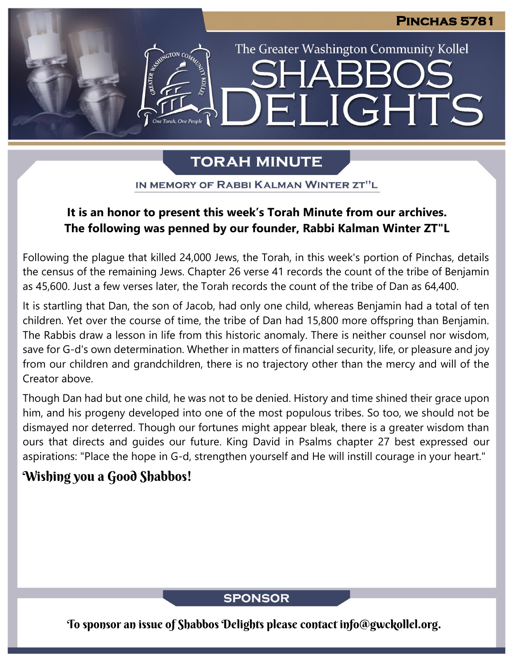The Greater Washington Community Kollel

LIGHTS

# **TORAH MINUTE**

Fil

IN MEMORY OF RABBI KALMAN WINTER ZT"L

## **It is an honor to present this week's Torah Minute from our archives. The following was penned by our founder, Rabbi Kalman Winter ZT"L**

Following the plague that killed 24,000 Jews, the Torah, in this week's portion of Pinchas, details the census of the remaining Jews. Chapter 26 verse 41 records the count of the tribe of Benjamin as 45,600. Just a few verses later, the Torah records the count of the tribe of Dan as 64,400.

It is startling that Dan, the son of Jacob, had only one child, whereas Benjamin had a total of ten children. Yet over the course of time, the tribe of Dan had 15,800 more offspring than Benjamin. The Rabbis draw a lesson in life from this historic anomaly. There is neither counsel nor wisdom, save for G-d's own determination. Whether in matters of financial security, life, or pleasure and joy from our children and grandchildren, there is no trajectory other than the mercy and will of the Creator above.

Though Dan had but one child, he was not to be denied. History and time shined their grace upon him, and his progeny developed into one of the most populous tribes. So too, we should not be dismayed nor deterred. Though our fortunes might appear bleak, there is a greater wisdom than ours that directs and guides our future. King David in Psalms chapter 27 best expressed our aspirations: "Place the hope in G-d, strengthen yourself and He will instill courage in your heart."

## Wishing you a Good Shabbos!

**SPONSOR** 

To sponsor an issue of Shabbos Delights please contact info@gwckollel.org.